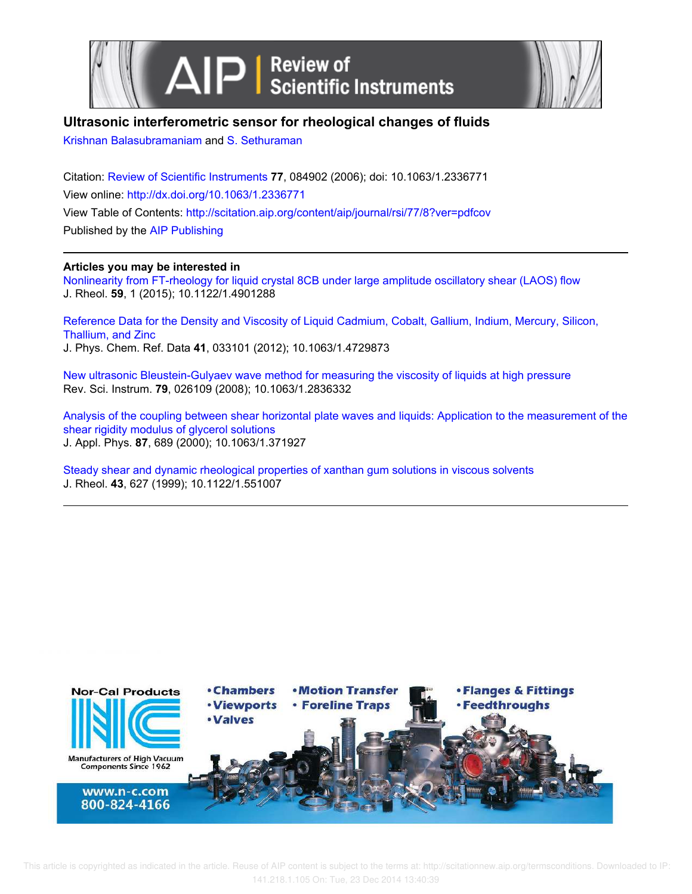



# **Ultrasonic interferometric sensor for rheological changes of fluids**

Krishnan Balasubramaniam and S. Sethuraman

Citation: Review of Scientific Instruments **77**, 084902 (2006); doi: 10.1063/1.2336771 View online: http://dx.doi.org/10.1063/1.2336771 View Table of Contents: http://scitation.aip.org/content/aip/journal/rsi/77/8?ver=pdfcov Published by the AIP Publishing

## **Articles you may be interested in**

Nonlinearity from FT-rheology for liquid crystal 8CB under large amplitude oscillatory shear (LAOS) flow J. Rheol. **59**, 1 (2015); 10.1122/1.4901288

Reference Data for the Density and Viscosity of Liquid Cadmium, Cobalt, Gallium, Indium, Mercury, Silicon, Thallium, and Zinc J. Phys. Chem. Ref. Data **41**, 033101 (2012); 10.1063/1.4729873

New ultrasonic Bleustein-Gulyaev wave method for measuring the viscosity of liquids at high pressure Rev. Sci. Instrum. **79**, 026109 (2008); 10.1063/1.2836332

Analysis of the coupling between shear horizontal plate waves and liquids: Application to the measurement of the shear rigidity modulus of glycerol solutions J. Appl. Phys. **87**, 689 (2000); 10.1063/1.371927

Steady shear and dynamic rheological properties of xanthan gum solutions in viscous solvents J. Rheol. **43**, 627 (1999); 10.1122/1.551007

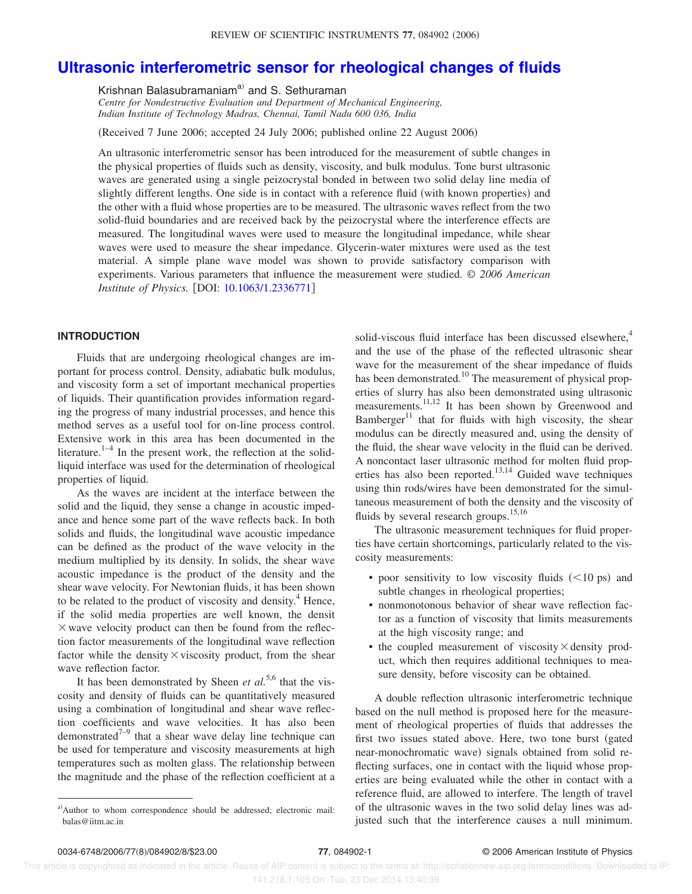# **Ultrasonic interferometric sensor for rheological changes of fluids**

Krishnan Balasubramaniam<sup>a)</sup> and S. Sethuraman

*Centre for Nondestructive Evaluation and Department of Mechanical Engineering, Indian Institute of Technology Madras, Chennai, Tamil Nadu 600 036, India*

(Received 7 June 2006; accepted 24 July 2006; published online 22 August 2006)

An ultrasonic interferometric sensor has been introduced for the measurement of subtle changes in the physical properties of fluids such as density, viscosity, and bulk modulus. Tone burst ultrasonic waves are generated using a single peizocrystal bonded in between two solid delay line media of slightly different lengths. One side is in contact with a reference fluid (with known properties) and the other with a fluid whose properties are to be measured. The ultrasonic waves reflect from the two solid-fluid boundaries and are received back by the peizocrystal where the interference effects are measured. The longitudinal waves were used to measure the longitudinal impedance, while shear waves were used to measure the shear impedance. Glycerin-water mixtures were used as the test material. A simple plane wave model was shown to provide satisfactory comparison with experiments. Various parameters that influence the measurement were studied. *© 2006 American Institute of Physics.* [DOI: 10.1063/1.2336771]

#### **INTRODUCTION**

Fluids that are undergoing rheological changes are important for process control. Density, adiabatic bulk modulus, and viscosity form a set of important mechanical properties of liquids. Their quantification provides information regarding the progress of many industrial processes, and hence this method serves as a useful tool for on-line process control. Extensive work in this area has been documented in the literature.<sup>1–4</sup> In the present work, the reflection at the solidliquid interface was used for the determination of rheological properties of liquid.

As the waves are incident at the interface between the solid and the liquid, they sense a change in acoustic impedance and hence some part of the wave reflects back. In both solids and fluids, the longitudinal wave acoustic impedance can be defined as the product of the wave velocity in the medium multiplied by its density. In solids, the shear wave acoustic impedance is the product of the density and the shear wave velocity. For Newtonian fluids, it has been shown to be related to the product of viscosity and density.<sup>4</sup> Hence, if the solid media properties are well known, the densit  $\times$  wave velocity product can then be found from the reflection factor measurements of the longitudinal wave reflection factor while the density  $\times$  viscosity product, from the shear wave reflection factor.

It has been demonstrated by Sheen *et al.*<sup>5,6</sup> that the viscosity and density of fluids can be quantitatively measured using a combination of longitudinal and shear wave reflection coefficients and wave velocities. It has also been demonstrated<sup>7–9</sup> that a shear wave delay line technique can be used for temperature and viscosity measurements at high temperatures such as molten glass. The relationship between the magnitude and the phase of the reflection coefficient at a

solid-viscous fluid interface has been discussed elsewhere,<sup>4</sup> and the use of the phase of the reflected ultrasonic shear wave for the measurement of the shear impedance of fluids has been demonstrated.<sup>10</sup> The measurement of physical properties of slurry has also been demonstrated using ultrasonic measurements.<sup>11,12</sup> It has been shown by Greenwood and Bamberger<sup>11</sup> that for fluids with high viscosity, the shear modulus can be directly measured and, using the density of the fluid, the shear wave velocity in the fluid can be derived. A noncontact laser ultrasonic method for molten fluid properties has also been reported.<sup>13,14</sup> Guided wave techniques using thin rods/wires have been demonstrated for the simultaneous measurement of both the density and the viscosity of fluids by several research groups.<sup>15,16</sup>

The ultrasonic measurement techniques for fluid properties have certain shortcomings, particularly related to the viscosity measurements:

- poor sensitivity to low viscosity fluids  $(<10 \text{ ps})$  and subtle changes in rheological properties;
- nonmonotonous behavior of shear wave reflection factor as a function of viscosity that limits measurements at the high viscosity range; and
- the coupled measurement of viscosity  $\times$  density product, which then requires additional techniques to measure density, before viscosity can be obtained.

A double reflection ultrasonic interferometric technique based on the null method is proposed here for the measurement of rheological properties of fluids that addresses the first two issues stated above. Here, two tone burst gated near-monochromatic wave) signals obtained from solid reflecting surfaces, one in contact with the liquid whose properties are being evaluated while the other in contact with a reference fluid, are allowed to interfere. The length of travel of the ultrasonic waves in the two solid delay lines was adjusted such that the interference causes a null minimum.

a)Author to whom correspondence should be addressed; electronic mail: balas@iitm.ac.in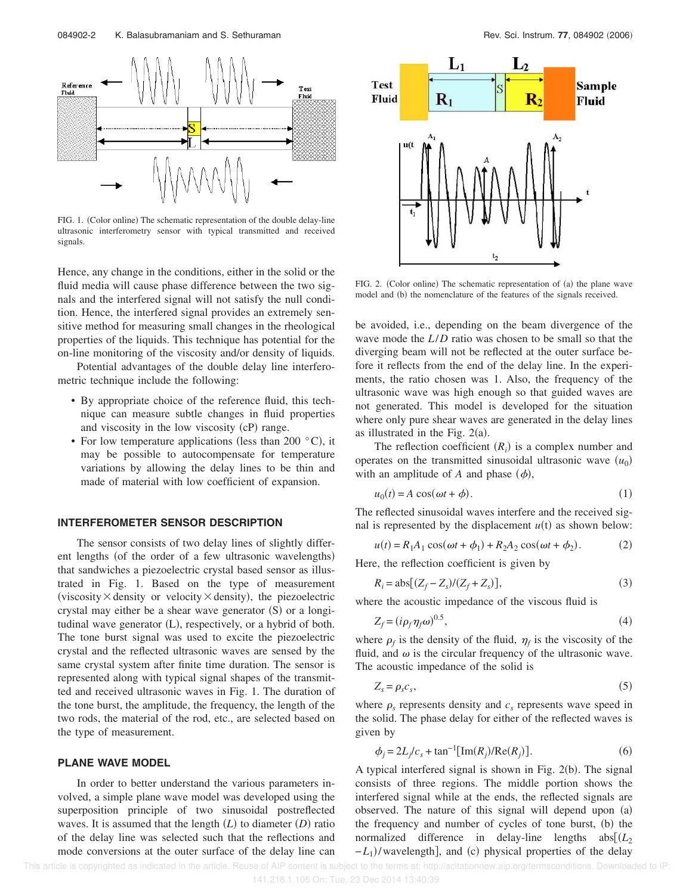

FIG. 1. (Color online) The schematic representation of the double delay-line ultrasonic interferometry sensor with typical transmitted and received signals.

Hence, any change in the conditions, either in the solid or the fluid media will cause phase difference between the two signals and the interfered signal will not satisfy the null condition. Hence, the interfered signal provides an extremely sensitive method for measuring small changes in the rheological properties of the liquids. This technique has potential for the on-line monitoring of the viscosity and/or density of liquids.

Potential advantages of the double delay line interferometric technique include the following:

- By appropriate choice of the reference fluid, this technique can measure subtle changes in fluid properties and viscosity in the low viscosity (cP) range.
- For low temperature applications (less than 200  $\degree$ C), it may be possible to autocompensate for temperature variations by allowing the delay lines to be thin and made of material with low coefficient of expansion.

## **INTERFEROMETER SENSOR DESCRIPTION**

The sensor consists of two delay lines of slightly different lengths (of the order of a few ultrasonic wavelengths) that sandwiches a piezoelectric crystal based sensor as illustrated in Fig. 1. Based on the type of measurement (viscosity  $\times$  density or velocity  $\times$  density), the piezoelectric crystal may either be a shear wave generator (S) or a longitudinal wave generator (L), respectively, or a hybrid of both. The tone burst signal was used to excite the piezoelectric crystal and the reflected ultrasonic waves are sensed by the same crystal system after finite time duration. The sensor is represented along with typical signal shapes of the transmitted and received ultrasonic waves in Fig. 1. The duration of the tone burst, the amplitude, the frequency, the length of the two rods, the material of the rod, etc., are selected based on the type of measurement.

### **PLANE WAVE MODEL**

In order to better understand the various parameters involved, a simple plane wave model was developed using the superposition principle of two sinusoidal postreflected waves. It is assumed that the length  $(L)$  to diameter  $(D)$  ratio of the delay line was selected such that the reflections and mode conversions at the outer surface of the delay line can



FIG. 2. (Color online) The schematic representation of (a) the plane wave model and (b) the nomenclature of the features of the signals received.

be avoided, i.e., depending on the beam divergence of the wave mode the *L*/*D* ratio was chosen to be small so that the diverging beam will not be reflected at the outer surface before it reflects from the end of the delay line. In the experiments, the ratio chosen was 1. Also, the frequency of the ultrasonic wave was high enough so that guided waves are not generated. This model is developed for the situation where only pure shear waves are generated in the delay lines as illustrated in the Fig.  $2(a)$ .

The reflection coefficient  $(R_i)$  is a complex number and operates on the transmitted sinusoidal ultrasonic wave  $(u_0)$ with an amplitude of  $A$  and phase  $(\phi)$ ,

$$
u_0(t) = A \cos(\omega t + \phi). \tag{1}
$$

The reflected sinusoidal waves interfere and the received signal is represented by the displacement  $u(t)$  as shown below:

$$
u(t) = R_1 A_1 \cos(\omega t + \phi_1) + R_2 A_2 \cos(\omega t + \phi_2).
$$
 (2)

Here, the reflection coefficient is given by

$$
R_i = \text{abs}[(Z_f - Z_s)/(Z_f + Z_s)],\tag{3}
$$

where the acoustic impedance of the viscous fluid is

$$
Z_f = (i\rho_f \eta_f \omega)^{0.5},\tag{4}
$$

where  $\rho_f$  is the density of the fluid,  $\eta_f$  is the viscosity of the fluid, and  $\omega$  is the circular frequency of the ultrasonic wave. The acoustic impedance of the solid is

$$
Z_s = \rho_s c_s,\tag{5}
$$

where  $\rho_s$  represents density and  $c_s$  represents wave speed in the solid. The phase delay for either of the reflected waves is given by

$$
\phi_j = 2L_j/c_s + \tan^{-1}[\text{Im}(R_j)/\text{Re}(R_j)].
$$
\n(6)

A typical interfered signal is shown in Fig.  $2(b)$ . The signal consists of three regions. The middle portion shows the interfered signal while at the ends, the reflected signals are observed. The nature of this signal will depend upon (a) the frequency and number of cycles of tone burst, (b) the normalized difference in delay-line lengths  $abs[(L_2)]$ −*L*<sub>1</sub>)/wavelength], and (c) physical properties of the delay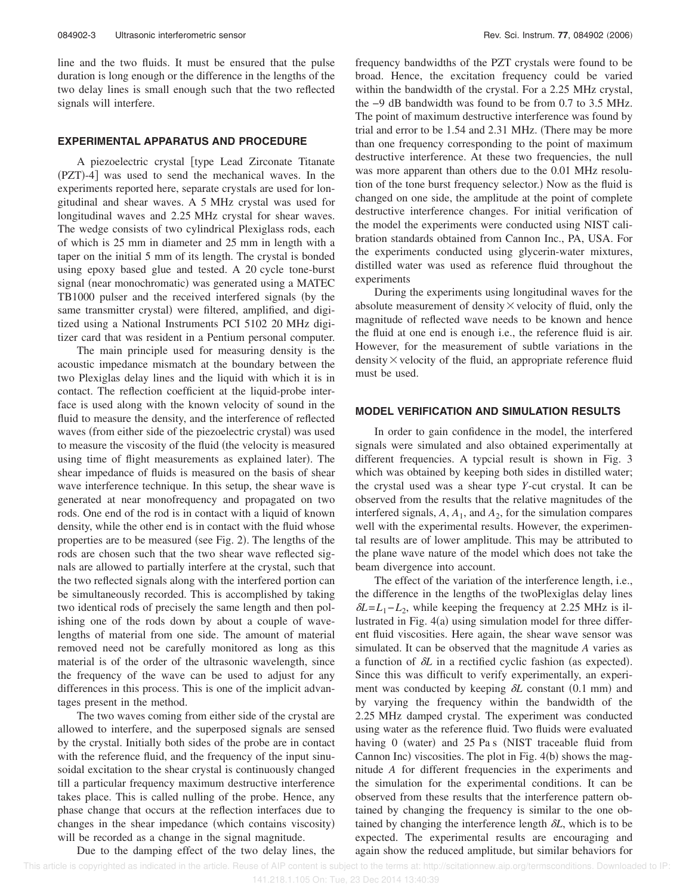line and the two fluids. It must be ensured that the pulse duration is long enough or the difference in the lengths of the two delay lines is small enough such that the two reflected signals will interfere.

#### **EXPERIMENTAL APPARATUS AND PROCEDURE**

A piezoelectric crystal [type Lead Zirconate Titanate (PZT)-4] was used to send the mechanical waves. In the experiments reported here, separate crystals are used for longitudinal and shear waves. A 5 MHz crystal was used for longitudinal waves and 2.25 MHz crystal for shear waves. The wedge consists of two cylindrical Plexiglass rods, each of which is 25 mm in diameter and 25 mm in length with a taper on the initial 5 mm of its length. The crystal is bonded using epoxy based glue and tested. A 20 cycle tone-burst signal (near monochromatic) was generated using a MATEC TB1000 pulser and the received interfered signals (by the same transmitter crystal) were filtered, amplified, and digitized using a National Instruments PCI 5102 20 MHz digitizer card that was resident in a Pentium personal computer.

The main principle used for measuring density is the acoustic impedance mismatch at the boundary between the two Plexiglas delay lines and the liquid with which it is in contact. The reflection coefficient at the liquid-probe interface is used along with the known velocity of sound in the fluid to measure the density, and the interference of reflected waves (from either side of the piezoelectric crystal) was used to measure the viscosity of the fluid (the velocity is measured using time of flight measurements as explained later). The shear impedance of fluids is measured on the basis of shear wave interference technique. In this setup, the shear wave is generated at near monofrequency and propagated on two rods. One end of the rod is in contact with a liquid of known density, while the other end is in contact with the fluid whose properties are to be measured (see Fig. 2). The lengths of the rods are chosen such that the two shear wave reflected signals are allowed to partially interfere at the crystal, such that the two reflected signals along with the interfered portion can be simultaneously recorded. This is accomplished by taking two identical rods of precisely the same length and then polishing one of the rods down by about a couple of wavelengths of material from one side. The amount of material removed need not be carefully monitored as long as this material is of the order of the ultrasonic wavelength, since the frequency of the wave can be used to adjust for any differences in this process. This is one of the implicit advantages present in the method.

The two waves coming from either side of the crystal are allowed to interfere, and the superposed signals are sensed by the crystal. Initially both sides of the probe are in contact with the reference fluid, and the frequency of the input sinusoidal excitation to the shear crystal is continuously changed till a particular frequency maximum destructive interference takes place. This is called nulling of the probe. Hence, any phase change that occurs at the reflection interfaces due to changes in the shear impedance (which contains viscosity) will be recorded as a change in the signal magnitude.

Due to the damping effect of the two delay lines, the

frequency bandwidths of the PZT crystals were found to be broad. Hence, the excitation frequency could be varied within the bandwidth of the crystal. For a 2.25 MHz crystal, the −9 dB bandwidth was found to be from 0.7 to 3.5 MHz. The point of maximum destructive interference was found by trial and error to be 1.54 and 2.31 MHz. (There may be more than one frequency corresponding to the point of maximum destructive interference. At these two frequencies, the null was more apparent than others due to the 0.01 MHz resolution of the tone burst frequency selector.) Now as the fluid is changed on one side, the amplitude at the point of complete destructive interference changes. For initial verification of the model the experiments were conducted using NIST calibration standards obtained from Cannon Inc., PA, USA. For the experiments conducted using glycerin-water mixtures, distilled water was used as reference fluid throughout the experiments

During the experiments using longitudinal waves for the absolute measurement of density  $\times$  velocity of fluid, only the magnitude of reflected wave needs to be known and hence the fluid at one end is enough i.e., the reference fluid is air. However, for the measurement of subtle variations in the density  $\times$  velocity of the fluid, an appropriate reference fluid must be used.

#### **MODEL VERIFICATION AND SIMULATION RESULTS**

In order to gain confidence in the model, the interfered signals were simulated and also obtained experimentally at different frequencies. A typcial result is shown in Fig. 3 which was obtained by keeping both sides in distilled water; the crystal used was a shear type *Y*-cut crystal. It can be observed from the results that the relative magnitudes of the interfered signals,  $A$ ,  $A$ <sub>1</sub>, and  $A$ <sub>2</sub>, for the simulation compares well with the experimental results. However, the experimental results are of lower amplitude. This may be attributed to the plane wave nature of the model which does not take the beam divergence into account.

The effect of the variation of the interference length, i.e., the difference in the lengths of the twoPlexiglas delay lines  $\delta L = L_1 - L_2$ , while keeping the frequency at 2.25 MHz is illustrated in Fig. 4(a) using simulation model for three different fluid viscosities. Here again, the shear wave sensor was simulated. It can be observed that the magnitude *A* varies as a function of  $\delta L$  in a rectified cyclic fashion (as expected). Since this was difficult to verify experimentally, an experiment was conducted by keeping  $\delta L$  constant (0.1 mm) and by varying the frequency within the bandwidth of the 2.25 MHz damped crystal. The experiment was conducted using water as the reference fluid. Two fluids were evaluated having 0 (water) and 25 Pa s (NIST traceable fluid from Cannon Inc) viscosities. The plot in Fig. 4(b) shows the magnitude *A* for different frequencies in the experiments and the simulation for the experimental conditions. It can be observed from these results that the interference pattern obtained by changing the frequency is similar to the one obtained by changing the interference length  $\delta L$ , which is to be expected. The experimental results are encouraging and again show the reduced amplitude, but similar behaviors for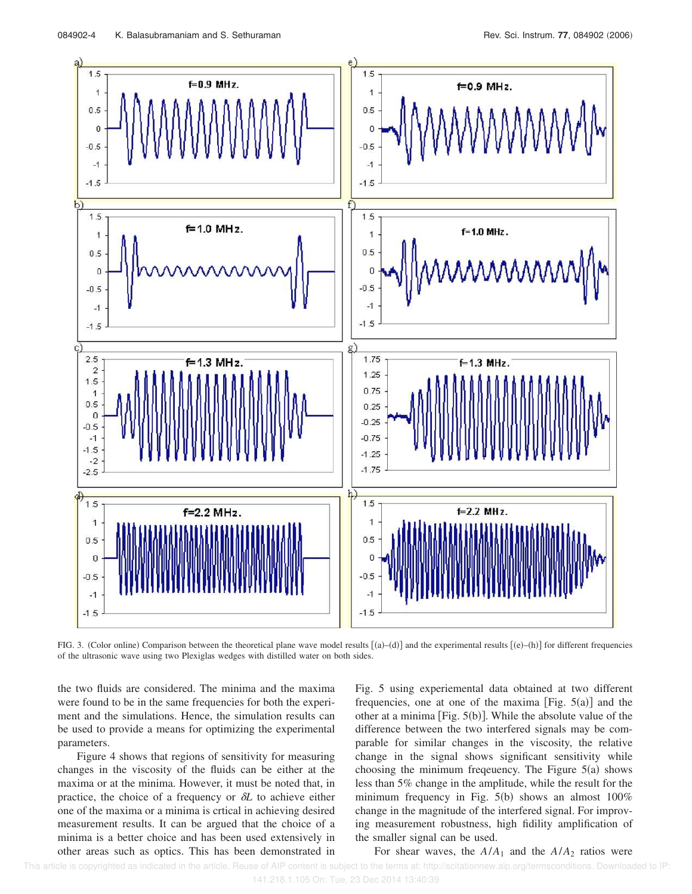

FIG. 3. (Color online) Comparison between the theoretical plane wave model results  $[(a)-(d)]$  and the experimental results  $[(e)-(h)]$  for different frequencies of the ultrasonic wave using two Plexiglas wedges with distilled water on both sides.

the two fluids are considered. The minima and the maxima were found to be in the same frequencies for both the experiment and the simulations. Hence, the simulation results can be used to provide a means for optimizing the experimental parameters.

Figure 4 shows that regions of sensitivity for measuring changes in the viscosity of the fluids can be either at the maxima or at the minima. However, it must be noted that, in practice, the choice of a frequency or  $\delta L$  to achieve either one of the maxima or a minima is crtical in achieving desired measurement results. It can be argued that the choice of a minima is a better choice and has been used extensively in other areas such as optics. This has been demonstrated in Fig. 5 using experiemental data obtained at two different frequencies, one at one of the maxima [Fig.  $5(a)$ ] and the other at a minima [Fig.  $5(b)$ ]. While the absolute value of the difference between the two interfered signals may be comparable for similar changes in the viscosity, the relative change in the signal shows significant sensitivity while choosing the minimum frequency. The Figure  $5(a)$  shows less than 5% change in the amplitude, while the result for the minimum frequency in Fig.  $5(b)$  shows an almost  $100\%$ change in the magnitude of the interfered signal. For improving measurement robustness, high fidility amplification of the smaller signal can be used.

For shear waves, the  $A/A_1$  and the  $A/A_2$  ratios were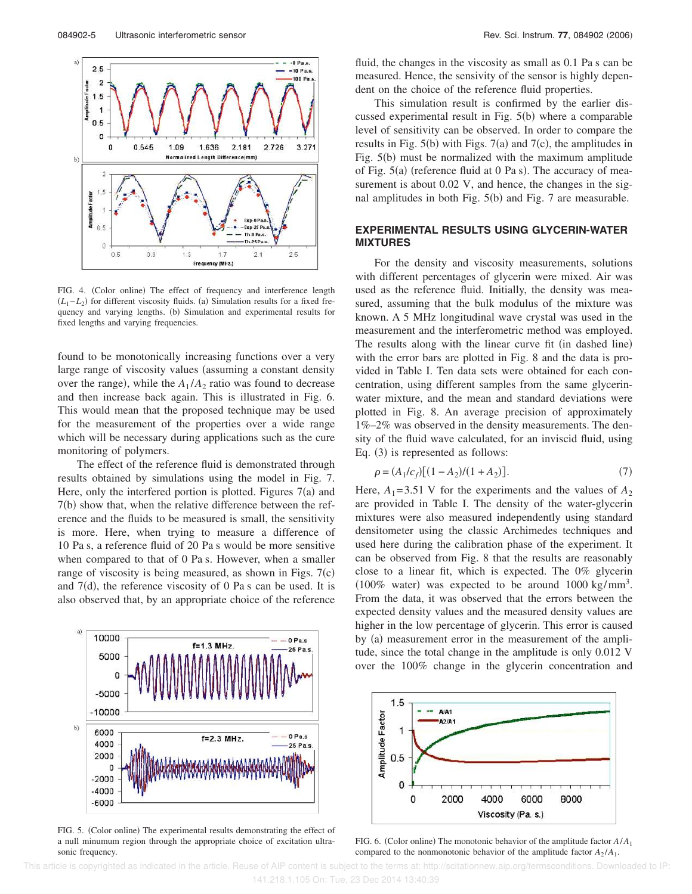

FIG. 4. (Color online) The effect of frequency and interference length  $(L_1 - L_2)$  for different viscosity fluids. (a) Simulation results for a fixed frequency and varying lengths. (b) Simulation and experimental results for fixed lengths and varying frequencies.

found to be monotonically increasing functions over a very large range of viscosity values (assuming a constant density over the range), while the  $A_1/A_2$  ratio was found to decrease and then increase back again. This is illustrated in Fig. 6. This would mean that the proposed technique may be used for the measurement of the properties over a wide range which will be necessary during applications such as the cure monitoring of polymers.

The effect of the reference fluid is demonstrated through results obtained by simulations using the model in Fig. 7. Here, only the interfered portion is plotted. Figures  $7(a)$  and 7(b) show that, when the relative difference between the reference and the fluids to be measured is small, the sensitivity is more. Here, when trying to measure a difference of 10 Pa s, a reference fluid of 20 Pa s would be more sensitive when compared to that of 0 Pa s. However, when a smaller range of viscosity is being measured, as shown in Figs.  $7(c)$ and  $7(d)$ , the reference viscosity of 0 Pa s can be used. It is also observed that, by an appropriate choice of the reference



FIG. 5. (Color online) The experimental results demonstrating the effect of a null minumum region through the appropriate choice of excitation ultrasonic frequency.

fluid, the changes in the viscosity as small as 0.1 Pa s can be measured. Hence, the sensivity of the sensor is highly dependent on the choice of the reference fluid properties.

This simulation result is confirmed by the earlier discussed experimental result in Fig.  $5(b)$  where a comparable level of sensitivity can be observed. In order to compare the results in Fig.  $5(b)$  with Figs.  $7(a)$  and  $7(c)$ , the amplitudes in Fig. 5(b) must be normalized with the maximum amplitude of Fig. 5(a) (reference fluid at 0 Pa s). The accuracy of measurement is about 0.02 V, and hence, the changes in the signal amplitudes in both Fig. 5(b) and Fig. 7 are measurable.

### **EXPERIMENTAL RESULTS USING GLYCERIN-WATER MIXTURES**

For the density and viscosity measurements, solutions with different percentages of glycerin were mixed. Air was used as the reference fluid. Initially, the density was measured, assuming that the bulk modulus of the mixture was known. A 5 MHz longitudinal wave crystal was used in the measurement and the interferometric method was employed. The results along with the linear curve fit (in dashed line) with the error bars are plotted in Fig. 8 and the data is provided in Table I. Ten data sets were obtained for each concentration, using different samples from the same glycerinwater mixture, and the mean and standard deviations were plotted in Fig. 8. An average precision of approximately 1%–2% was observed in the density measurements. The density of the fluid wave calculated, for an inviscid fluid, using Eq.  $(3)$  is represented as follows:

$$
\rho = (A_1/c_f)[(1 - A_2)/(1 + A_2)].\tag{7}
$$

Here,  $A_1 = 3.51$  V for the experiments and the values of  $A_2$ are provided in Table I. The density of the water-glycerin mixtures were also measured independently using standard densitometer using the classic Archimedes techniques and used here during the calibration phase of the experiment. It can be observed from Fig. 8 that the results are reasonably close to a linear fit, which is expected. The 0% glycerin (100% water) was expected to be around  $1000 \text{ kg/mm}^3$ . From the data, it was observed that the errors between the expected density values and the measured density values are higher in the low percentage of glycerin. This error is caused by (a) measurement error in the measurement of the amplitude, since the total change in the amplitude is only 0.012 V over the 100% change in the glycerin concentration and



FIG. 6. (Color online) The monotonic behavior of the amplitude factor  $A/A_1$ compared to the nonmonotonic behavior of the amplitude factor  $A_2/A_1$ .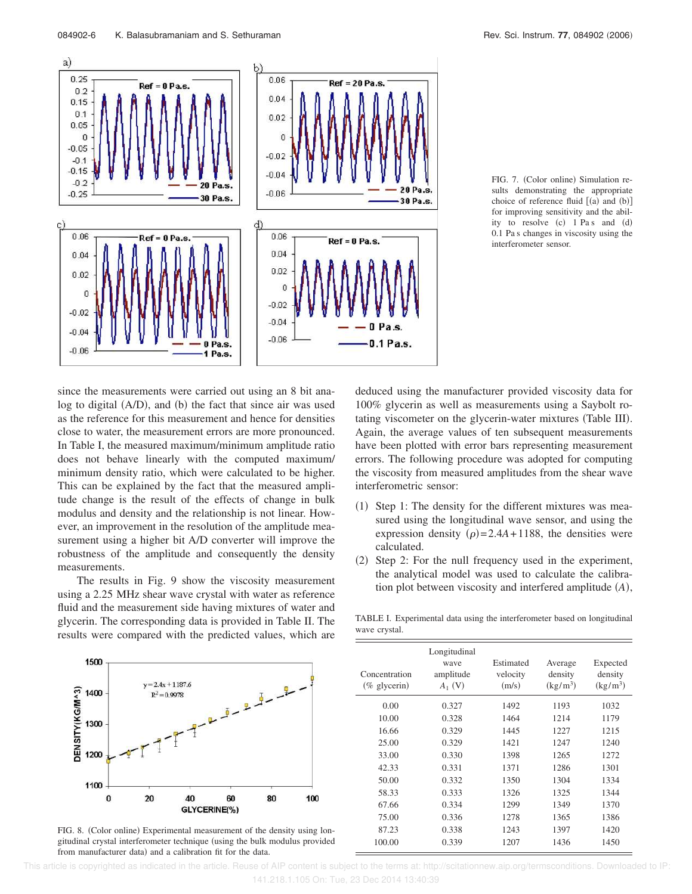

FIG. 7. (Color online) Simulation results demonstrating the appropriate choice of reference fluid  $[(a)$  and  $(b)]$ for improving sensitivity and the ability to resolve  $(c)$  1 Pas and  $(d)$ 0.1 Pa s changes in viscosity using the interferometer sensor.

since the measurements were carried out using an 8 bit analog to digital (A/D), and (b) the fact that since air was used as the reference for this measurement and hence for densities close to water, the measurement errors are more pronounced. In Table I, the measured maximum/minimum amplitude ratio does not behave linearly with the computed maximum/ minimum density ratio, which were calculated to be higher. This can be explained by the fact that the measured amplitude change is the result of the effects of change in bulk modulus and density and the relationship is not linear. However, an improvement in the resolution of the amplitude measurement using a higher bit A/D converter will improve the robustness of the amplitude and consequently the density measurements.

The results in Fig. 9 show the viscosity measurement using a 2.25 MHz shear wave crystal with water as reference fluid and the measurement side having mixtures of water and glycerin. The corresponding data is provided in Table II. The results were compared with the predicted values, which are



FIG. 8. (Color online) Experimental measurement of the density using longitudinal crystal interferometer technique (using the bulk modulus provided from manufacturer data) and a calibration fit for the data.

deduced using the manufacturer provided viscosity data for 100% glycerin as well as measurements using a Saybolt rotating viscometer on the glycerin-water mixtures (Table III). Again, the average values of ten subsequent measurements have been plotted with error bars representing measurement errors. The following procedure was adopted for computing the viscosity from measured amplitudes from the shear wave interferometric sensor:

- (1) Step 1: The density for the different mixtures was measured using the longitudinal wave sensor, and using the expression density  $(\rho) = 2.4A + 1188$ , the densities were calculated.
- (2) Step 2: For the null frequency used in the experiment, the analytical model was used to calculate the calibration plot between viscosity and interfered amplitude (A),

TABLE I. Experimental data using the interferometer based on longitudinal wave crystal.

| Concentration<br>$(\%$ glycerin) | Longitudinal<br>wave<br>amplitude<br>$A_1$ (V) | Estimated<br>velocity<br>(m/s) | Average<br>density<br>$(kg/m^3)$ | Expected<br>density<br>$(kg/m^3)$ |
|----------------------------------|------------------------------------------------|--------------------------------|----------------------------------|-----------------------------------|
| 0.00                             | 0.327                                          | 1492                           | 1193                             | 1032                              |
| 10.00                            | 0.328                                          | 1464                           | 1214                             | 1179                              |
| 16.66                            | 0.329                                          | 1445                           | 1227                             | 1215                              |
| 25.00                            | 0.329                                          | 1421                           | 1247                             | 1240                              |
| 33.00                            | 0.330                                          | 1398                           | 1265                             | 1272                              |
| 42.33                            | 0.331                                          | 1371                           | 1286                             | 1301                              |
| 50.00                            | 0.332                                          | 1350                           | 1304                             | 1334                              |
| 58.33                            | 0.333                                          | 1326                           | 1325                             | 1344                              |
| 67.66                            | 0.334                                          | 1299                           | 1349                             | 1370                              |
| 75.00                            | 0.336                                          | 1278                           | 1365                             | 1386                              |
| 87.23                            | 0.338                                          | 1243                           | 1397                             | 1420                              |
| 100.00                           | 0.339                                          | 1207                           | 1436                             | 1450                              |
|                                  |                                                |                                |                                  |                                   |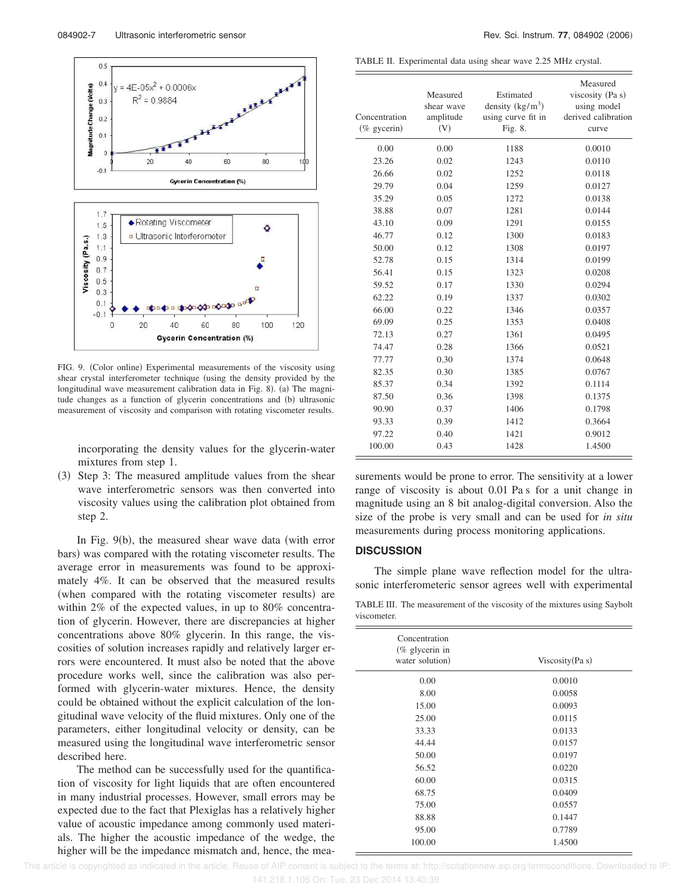

FIG. 9. (Color online) Experimental measurements of the viscosity using shear crystal interferometer technique (using the density provided by the longitudinal wave measurement calibration data in Fig. 8). (a) The magnitude changes as a function of glycerin concentrations and (b) ultrasonic measurement of viscosity and comparison with rotating viscometer results.

incorporating the density values for the glycerin-water mixtures from step 1.

(3) Step 3: The measured amplitude values from the shear wave interferometric sensors was then converted into viscosity values using the calibration plot obtained from step 2.

In Fig. 9(b), the measured shear wave data (with error bars) was compared with the rotating viscometer results. The average error in measurements was found to be approximately 4%. It can be observed that the measured results (when compared with the rotating viscometer results) are within 2% of the expected values, in up to 80% concentration of glycerin. However, there are discrepancies at higher concentrations above 80% glycerin. In this range, the viscosities of solution increases rapidly and relatively larger errors were encountered. It must also be noted that the above procedure works well, since the calibration was also performed with glycerin-water mixtures. Hence, the density could be obtained without the explicit calculation of the longitudinal wave velocity of the fluid mixtures. Only one of the parameters, either longitudinal velocity or density, can be measured using the longitudinal wave interferometric sensor described here.

The method can be successfully used for the quantification of viscosity for light liquids that are often encountered in many industrial processes. However, small errors may be expected due to the fact that Plexiglas has a relatively higher value of acoustic impedance among commonly used materials. The higher the acoustic impedance of the wedge, the higher will be the impedance mismatch and, hence, the mea-

TABLE II. Experimental data using shear wave 2.25 MHz crystal.

| Concentration<br>$(\%$ gycerin) | Measured<br>shear wave<br>amplitude<br>(V) | Estimated<br>density $(kg/m^3)$<br>using curve fit in<br>Fig. 8. | Measured<br>viscosity (Pa s)<br>using model<br>derived calibration<br>curve |
|---------------------------------|--------------------------------------------|------------------------------------------------------------------|-----------------------------------------------------------------------------|
| 0.00                            | 0.00                                       | 1188                                                             | 0.0010                                                                      |
| 23.26                           | 0.02                                       | 1243                                                             | 0.0110                                                                      |
| 26.66                           | 0.02                                       | 1252                                                             | 0.0118                                                                      |
| 29.79                           | 0.04                                       | 1259                                                             | 0.0127                                                                      |
| 35.29                           | 0.05                                       | 1272                                                             | 0.0138                                                                      |
| 38.88                           | 0.07                                       | 1281                                                             | 0.0144                                                                      |
| 43.10                           | 0.09                                       | 1291                                                             | 0.0155                                                                      |
| 46.77                           | 0.12                                       | 1300                                                             | 0.0183                                                                      |
| 50.00                           | 0.12                                       | 1308                                                             | 0.0197                                                                      |
| 52.78                           | 0.15                                       | 1314                                                             | 0.0199                                                                      |
| 56.41                           | 0.15                                       | 1323                                                             | 0.0208                                                                      |
| 59.52                           | 0.17                                       | 1330                                                             | 0.0294                                                                      |
| 62.22                           | 0.19                                       | 1337                                                             | 0.0302                                                                      |
| 66.00                           | 0.22                                       | 1346                                                             | 0.0357                                                                      |
| 69.09                           | 0.25                                       | 1353                                                             | 0.0408                                                                      |
| 72.13                           | 0.27                                       | 1361                                                             | 0.0495                                                                      |
| 74.47                           | 0.28                                       | 1366                                                             | 0.0521                                                                      |
| 77.77                           | 0.30                                       | 1374                                                             | 0.0648                                                                      |
| 82.35                           | 0.30                                       | 1385                                                             | 0.0767                                                                      |
| 85.37                           | 0.34                                       | 1392                                                             | 0.1114                                                                      |
| 87.50                           | 0.36                                       | 1398                                                             | 0.1375                                                                      |
| 90.90                           | 0.37                                       | 1406                                                             | 0.1798                                                                      |
| 93.33                           | 0.39                                       | 1412                                                             | 0.3664                                                                      |
| 97.22                           | 0.40                                       | 1421                                                             | 0.9012                                                                      |
| 100.00                          | 0.43                                       | 1428                                                             | 1.4500                                                                      |

surements would be prone to error. The sensitivity at a lower range of viscosity is about 0.01 Pa s for a unit change in magnitude using an 8 bit analog-digital conversion. Also the size of the probe is very small and can be used for *in situ* measurements during process monitoring applications.

#### **DISCUSSION**

The simple plane wave reflection model for the ultrasonic interferometeric sensor agrees well with experimental

TABLE III. The measurement of the viscosity of the mixtures using Saybolt viscometer.

| Concentration<br>(% glycerin in |                  |
|---------------------------------|------------------|
| water solution)                 | Viscosity (Pa s) |
| 0.00                            | 0.0010           |
| 8.00                            | 0.0058           |
| 15.00                           | 0.0093           |
| 25.00                           | 0.0115           |
| 33.33                           | 0.0133           |
| 44.44                           | 0.0157           |
| 50.00                           | 0.0197           |
| 56.52                           | 0.0220           |
| 60.00                           | 0.0315           |
| 68.75                           | 0.0409           |
| 75.00                           | 0.0557           |
| 88.88                           | 0.1447           |
| 95.00                           | 0.7789           |
| 100.00                          | 1.4500           |
|                                 |                  |